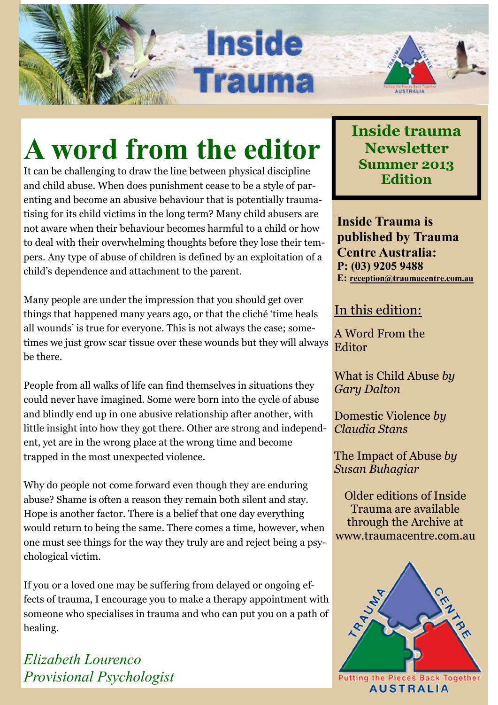# **A word from the editor**

**Inside** 

**Trauma** 

It can be challenging to draw the line between physical discipline and child abuse. When does punishment cease to be a style of parenting and become an abusive behaviour that is potentially traumatising for its child victims in the long term? Many child abusers are not aware when their behaviour becomes harmful to a child or how to deal with their overwhelming thoughts before they lose their tempers. Any type of abuse of children is defined by an exploitation of a child's dependence and attachment to the parent.

Many people are under the impression that you should get over things that happened many years ago, or that the cliché 'time heals all wounds' is true for everyone. This is not always the case; sometimes we just grow scar tissue over these wounds but they will always be there.

People from all walks of life can find themselves in situations they could never have imagined. Some were born into the cycle of abuse and blindly end up in one abusive relationship after another, with little insight into how they got there. Other are strong and independent, yet are in the wrong place at the wrong time and become trapped in the most unexpected violence.

Why do people not come forward even though they are enduring abuse? Shame is often a reason they remain both silent and stay. Hope is another factor. There is a belief that one day everything would return to being the same. There comes a time, however, when one must see things for the way they truly are and reject being a psychological victim.

If you or a loved one may be suffering from delayed or ongoing effects of trauma, I encourage you to make a therapy appointment with someone who specialises in trauma and who can put you on a path of healing.

*Elizabeth Lourenco Provisional Psychologist*

### **Inside trauma Newsletter Summer 2013 Edition**

**Inside Trauma is published by Trauma Centre Australia: P: (03) 9205 9488 E: [reception@traumacentre.com.au](mailto:reception@traumacentre.com.au)**

### In this edition:

A Word From the Editor

What is Child Abuse *by Gary Dalton*

Domestic Violence *by Claudia Stans*

The Impact of Abuse *by Susan Buhagiar*

Older editions of Inside Trauma are available through the Archive at www.traumacentre.com.au

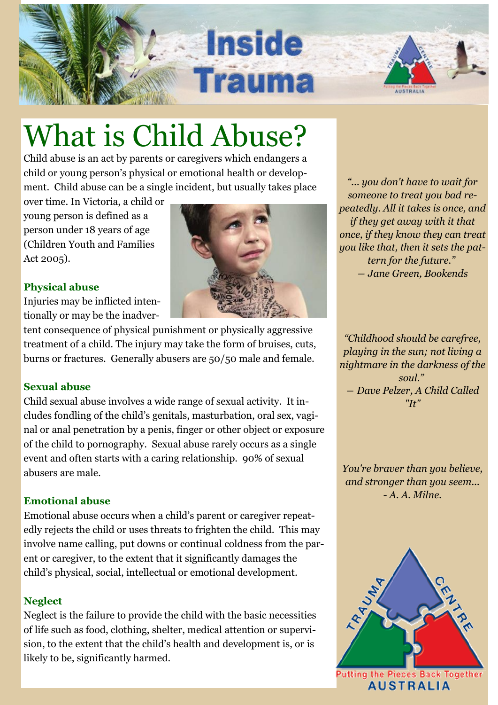

## What is Child Abuse?

Child abuse is an act by parents or caregivers which endangers a child or young person's physical or emotional health or development. Child abuse can be a single incident, but usually takes place

over time. In Victoria, a child or young person is defined as a person under 18 years of age (Children Youth and Families Act 2005).

### **Physical abuse**

Injuries may be inflicted intentionally or may be the inadver-

tent consequence of physical punishment or physically aggressive treatment of a child. The injury may take the form of bruises, cuts, burns or fractures. Generally abusers are 50/50 male and female.

### **Sexual abuse**

Child sexual abuse involves a wide range of sexual activity. It includes fondling of the child's genitals, masturbation, oral sex, vaginal or anal penetration by a penis, finger or other object or exposure of the child to pornography. Sexual abuse rarely occurs as a single event and often starts with a caring relationship. 90% of sexual abusers are male.

### **Emotional abuse**

Emotional abuse occurs when a child's parent or caregiver repeatedly rejects the child or uses threats to frighten the child. This may involve name calling, put downs or continual coldness from the parent or caregiver, to the extent that it significantly damages the child's physical, social, intellectual or emotional development.

### **Neglect**

Neglect is the failure to provide the child with the basic necessities of life such as food, clothing, shelter, medical attention or supervision, to the extent that the child's health and development is, or is likely to be, significantly harmed.



*"... you don't have to wait for someone to treat you bad repeatedly. All it takes is once, and if they get away with it that once, if they know they can treat you like that, then it sets the pattern for the future." ― [Jane Green,](http://www.goodreads.com/author/show/12915.Jane_Green) Bookends*

*"Childhood should be carefree, playing in the sun; not living a nightmare in the darkness of the soul." ― [Dave Pelzer,](http://www.goodreads.com/author/show/1881.Dave_Pelzer) A Child Called ["It"](http://www.goodreads.com/work/quotes/59104)*

*You're braver than you believe, and stronger than you seem... - A. A. Milne.* 



**AUSTRALIA**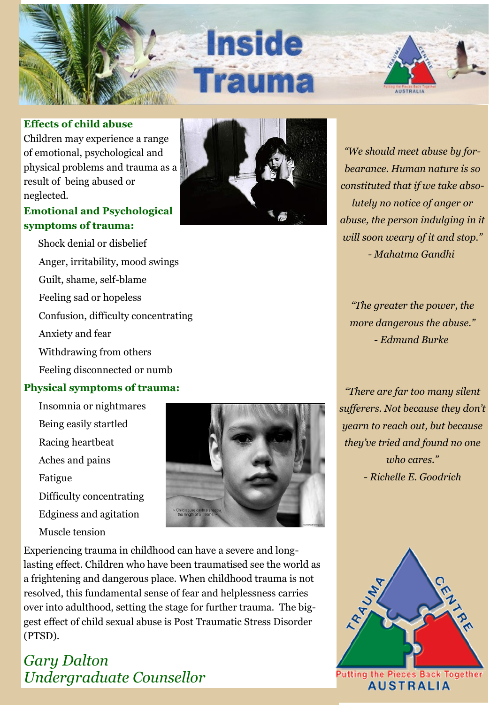

#### **Effects of child abuse**

Children may experience a range of emotional, psychological and physical problems and trauma as a result of being abused or neglected.

#### **Emotional and Psychological symptoms of trauma:**

 Shock denial or disbelief Anger, irritability, mood swings Guilt, shame, self-blame Feeling sad or hopeless Confusion, difficulty concentrating Anxiety and fear Withdrawing from others

Feeling disconnected or numb

#### **Physical symptoms of trauma:**

- Insomnia or nightmares
- Being easily startled
- Racing heartbeat
- Aches and pains
- Fatigue
- Difficulty concentrating
- Edginess and agitation
- Muscle tension



Experiencing trauma in childhood can have a severe and longlasting effect. Children who have been traumatised see the world as a frightening and dangerous place. When childhood trauma is not resolved, this fundamental sense of fear and helplessness carries over into adulthood, setting the stage for further trauma. The biggest effect of child sexual abuse is Post Traumatic Stress Disorder (PTSD).

### *Gary Dalton Undergraduate Counsellor*



*"We should meet abuse by forbearance. Human nature is so constituted that if we take absolutely no notice of anger or abuse, the person indulging in it will soon weary of it and stop." - Mahatma Gandhi*

*"The greater the power, the more dangerous the abuse." - Edmund Burke*

*"There are far too many silent sufferers. Not because they don't yearn to reach out, but because they've tried and found no one who cares." - Richelle E. Goodrich* 



**AUSTRALIA**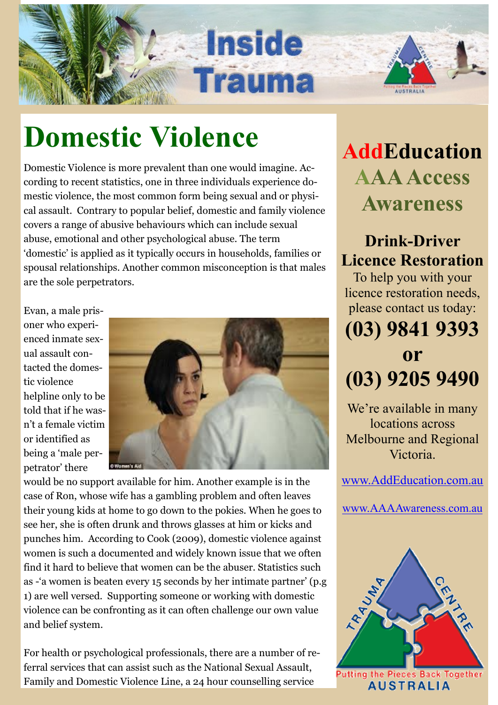

## **Domestic Violence**

Domestic Violence is more prevalent than one would imagine. According to recent statistics, one in three individuals experience domestic violence, the most common form being sexual and or physical assault. Contrary to popular belief, domestic and family violence covers a range of abusive behaviours which can include sexual abuse, emotional and other psychological abuse. The term 'domestic' is applied as it typically occurs in households, families or spousal relationships. Another common misconception is that males are the sole perpetrators.

Evan, a male prisoner who experienced inmate sexual assault contacted the domestic violence helpline only to be told that if he wasn't a female victim or identified as being a 'male perpetrator' there



would be no support available for him. Another example is in the case of Ron, whose wife has a gambling problem and often leaves their young kids at home to go down to the pokies. When he goes to see her, she is often drunk and throws glasses at him or kicks and punches him. According to Cook (2009), domestic violence against women is such a documented and widely known issue that we often find it hard to believe that women can be the abuser. Statistics such as -'a women is beaten every 15 seconds by her intimate partner' (p.g 1) are well versed. Supporting someone or working with domestic violence can be confronting as it can often challenge our own value and belief system.

For health or psychological professionals, there are a number of referral services that can assist such as the National Sexual Assault, Family and Domestic Violence Line, a 24 hour counselling service

## **AddEducation AAA Access Awareness**

### **Drink-Driver Licence Restoration**

To help you with your licence restoration needs, please contact us today:

### **(03) 9841 9393 or (03) 9205 9490**

We're available in many locations across Melbourne and Regional Victoria.

[www.AddEducation.com.au](http://www.AddEducation.com.au) 

[www.AAAAwareness.com.au](http://www.AAAAwareness.com.au)

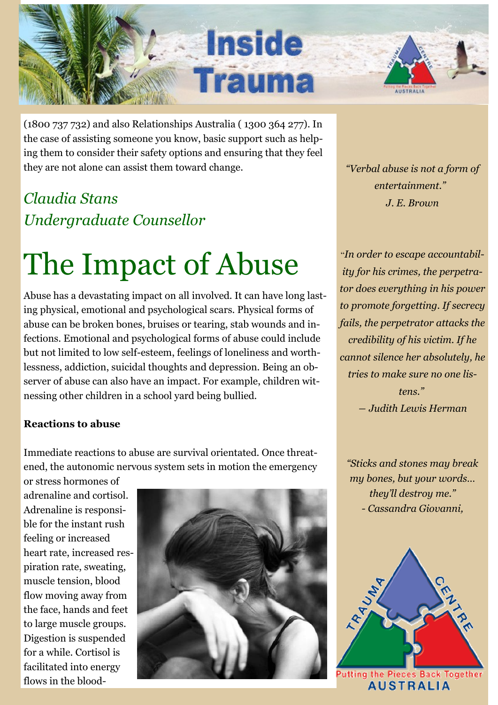

(1800 737 732) and also Relationships Australia ( 1300 364 277). In the case of assisting someone you know, basic support such as helping them to consider their safety options and ensuring that they feel they are not alone can assist them toward change.

### *Claudia Stans Undergraduate Counsellor*

## The Impact of Abuse

Abuse has a devastating impact on all involved. It can have long lasting physical, emotional and psychological scars. Physical forms of abuse can be broken bones, bruises or tearing, stab wounds and infections. Emotional and psychological forms of abuse could include but not limited to low self-esteem, feelings of loneliness and worthlessness, addiction, suicidal thoughts and depression. Being an observer of abuse can also have an impact. For example, children witnessing other children in a school yard being bullied.

#### **Reactions to abuse**

Immediate reactions to abuse are survival orientated. Once threatened, the autonomic nervous system sets in motion the emergency

or stress hormones of adrenaline and cortisol. Adrenaline is responsible for the instant rush feeling or increased heart rate, increased respiration rate, sweating, muscle tension, blood flow moving away from the face, hands and feet to large muscle groups. Digestion is suspended for a while. Cortisol is facilitated into energy flows in the blood-



*"Verbal abuse is not a form of entertainment." J. E. Brown* 

"*In order to escape accountability for his crimes, the perpetrator does everything in his power to promote forgetting. If secrecy fails, the perpetrator attacks the credibility of his victim. If he cannot silence her absolutely, he tries to make sure no one listens." ― Judith Lewis Herman*

*"Sticks and stones may break my bones, but your words… they'll destroy me." - Cassandra Giovanni,*



**AUSTRALIA**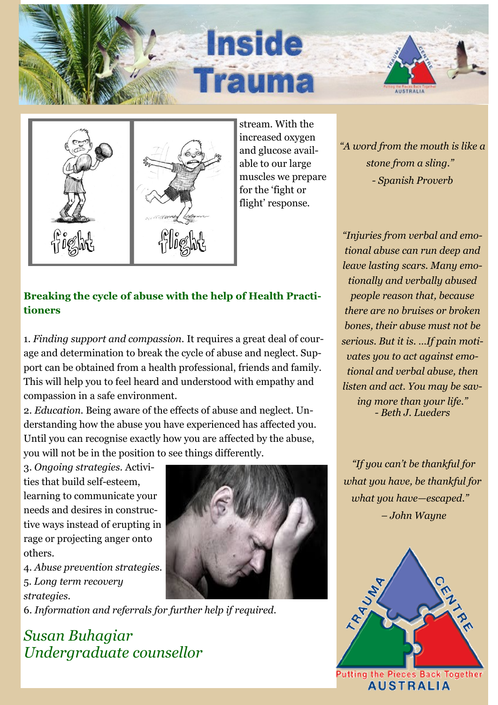



stream. With the increased oxygen and glucose available to our large muscles we prepare for the 'fight or flight' response.

*"A word from the mouth is like a stone from a sling." - Spanish Proverb* 

*"Injuries from verbal and emotional abuse can run deep and leave lasting scars. Many emotionally and verbally abused people reason that, because there are no bruises or broken bones, their abuse must not be* 

### **Breaking the cycle of abuse with the help of Health Practitioners**

1. *Finding support and compassion.* It requires a great deal of courage and determination to break the cycle of abuse and neglect. Support can be obtained from a health professional, friends and family. This will help you to feel heard and understood with empathy and compassion in a safe environment.

2. *Education.* Being aware of the effects of abuse and neglect. Understanding how the abuse you have experienced has affected you. Until you can recognise exactly how you are affected by the abuse, you will not be in the position to see things differently.

3. *Ongoing strategies.* Activities that build self-esteem, learning to communicate your needs and desires in constructive ways instead of erupting in rage or projecting anger onto others.

4. *Abuse prevention strategies.* 5. *Long term recovery strategies.*

6. *Information and referrals for further help if required.*

### *Susan Buhagiar Undergraduate counsellor*



*serious. But it is. …If pain motivates you to act against emotional and verbal abuse, then listen and act. You may be saving more than your life." - Beth J. Lueders*

*"If you can't be thankful for what you have, be thankful for what you have—escaped." – John Wayne* 



**AUSTRALIA**